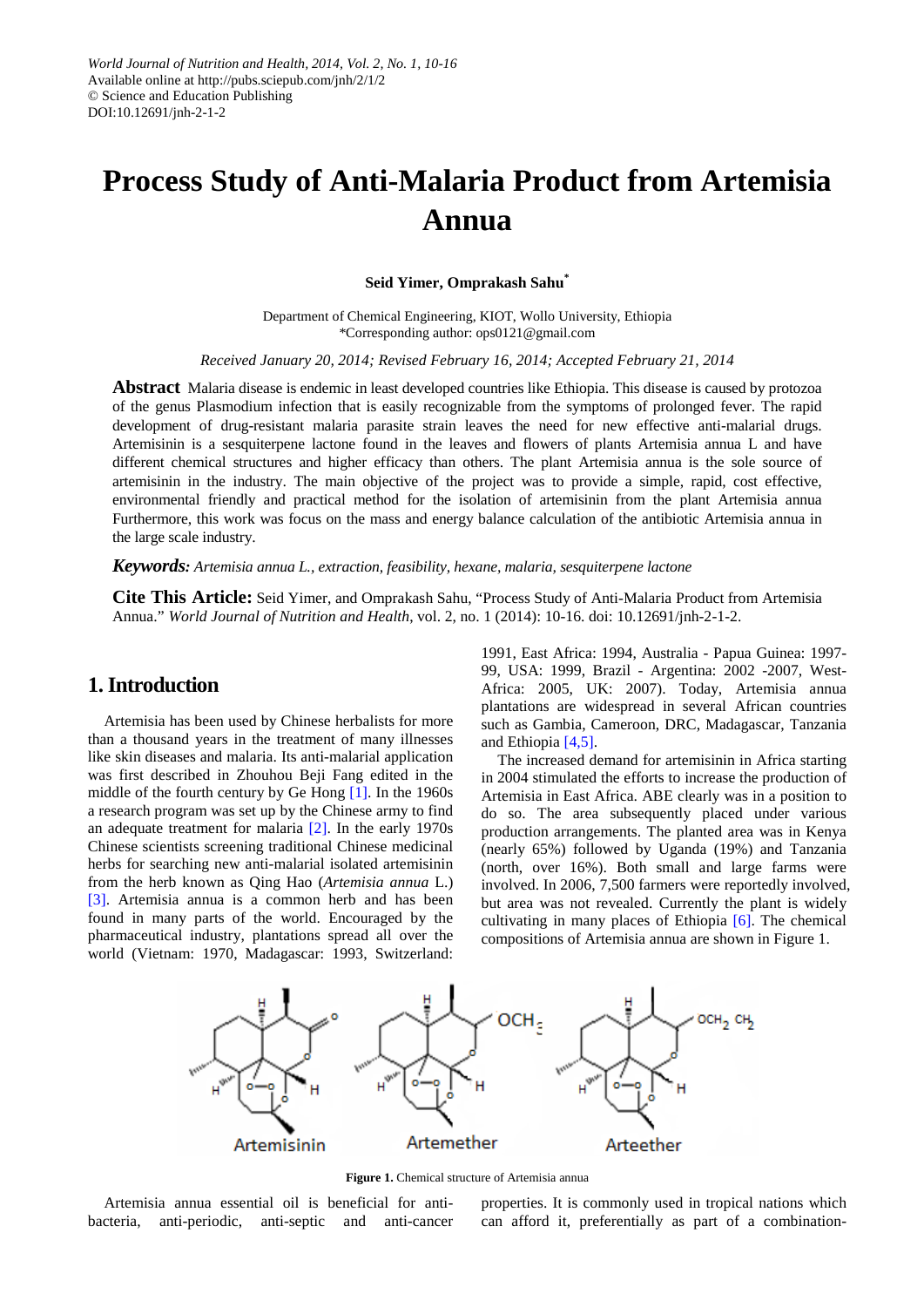# **Process Study of Anti-Malaria Product from Artemisia Annua**

**Seid Yimer, Omprakash Sahu\***

Department of Chemical Engineering, KIOT, Wollo University, Ethiopia \*Corresponding author: ops0121@gmail.com

*Received January 20, 2014; Revised February 16, 2014; Accepted February 21, 2014*

**Abstract** Malaria disease is endemic in least developed countries like Ethiopia. This disease is caused by protozoa of the genus Plasmodium infection that is easily recognizable from the symptoms of prolonged fever. The rapid development of drug-resistant malaria parasite strain leaves the need for new effective anti-malarial drugs. Artemisinin is a sesquiterpene lactone found in the leaves and flowers of plants Artemisia annua L and have different chemical structures and higher efficacy than others. The plant Artemisia annua is the sole source of artemisinin in the industry. The main objective of the project was to provide a simple, rapid, cost effective, environmental friendly and practical method for the isolation of artemisinin from the plant Artemisia annua Furthermore, this work was focus on the mass and energy balance calculation of the antibiotic Artemisia annua in the large scale industry.

*Keywords: Artemisia annua L., extraction, feasibility, hexane, malaria, sesquiterpene lactone*

**Cite This Article:** Seid Yimer, and Omprakash Sahu, "Process Study of Anti-Malaria Product from Artemisia Annua." *World Journal of Nutrition and Health*, vol. 2, no. 1 (2014): 10-16. doi: 10.12691/jnh-2-1-2.

# **1. Introduction**

Artemisia has been used by Chinese herbalists for more than a thousand years in the treatment of many illnesses like skin diseases and malaria. Its anti-malarial application was first described in Zhouhou Beji Fang edited in the middle of the fourth century by Ge Hong [1]. In the 1960s a research program was set up by the Chinese army to find an adequate treatment for malaria [\[2\].](#page-6-0) In the early 1970s Chinese scientists screening traditional Chinese medicinal herbs for searching new anti-malarial isolated artemisinin from the herb known as Qing Hao (*Artemisia annua* L.) [\[3\].](#page-6-1) Artemisia annua is a common herb and has been found in many parts of the world. Encouraged by the pharmaceutical industry, plantations spread all over the world (Vietnam: 1970, Madagascar: 1993, Switzerland:

1991, East Africa: 1994, Australia - Papua Guinea: 1997- 99, USA: 1999, Brazil - Argentina: 2002 -2007, West-Africa: 2005, UK: 2007). Today, Artemisia annua plantations are widespread in several African countries such as Gambia, Cameroon, DRC, Madagascar, Tanzania and Ethiopia [\[4,5\].](#page-6-2)

The increased demand for artemisinin in Africa starting in 2004 stimulated the efforts to increase the production of Artemisia in East Africa. ABE clearly was in a position to do so. The area subsequently placed under various production arrangements. The planted area was in Kenya (nearly 65%) followed by Uganda (19%) and Tanzania (north, over 16%). Both small and large farms were involved. In 2006, 7,500 farmers were reportedly involved, but area was not revealed. Currently the plant is widely cultivating in many places of Ethiopia [\[6\].](#page-6-3) The chemical compositions of Artemisia annua are shown in Figure 1.



Figure 1. Chemical structure of Artemisia annua

Artemisia annua essential oil is beneficial for antibacteria, anti-periodic, anti-septic and anti-cancer properties. It is commonly used in tropical nations which can afford it, preferentially as part of a combination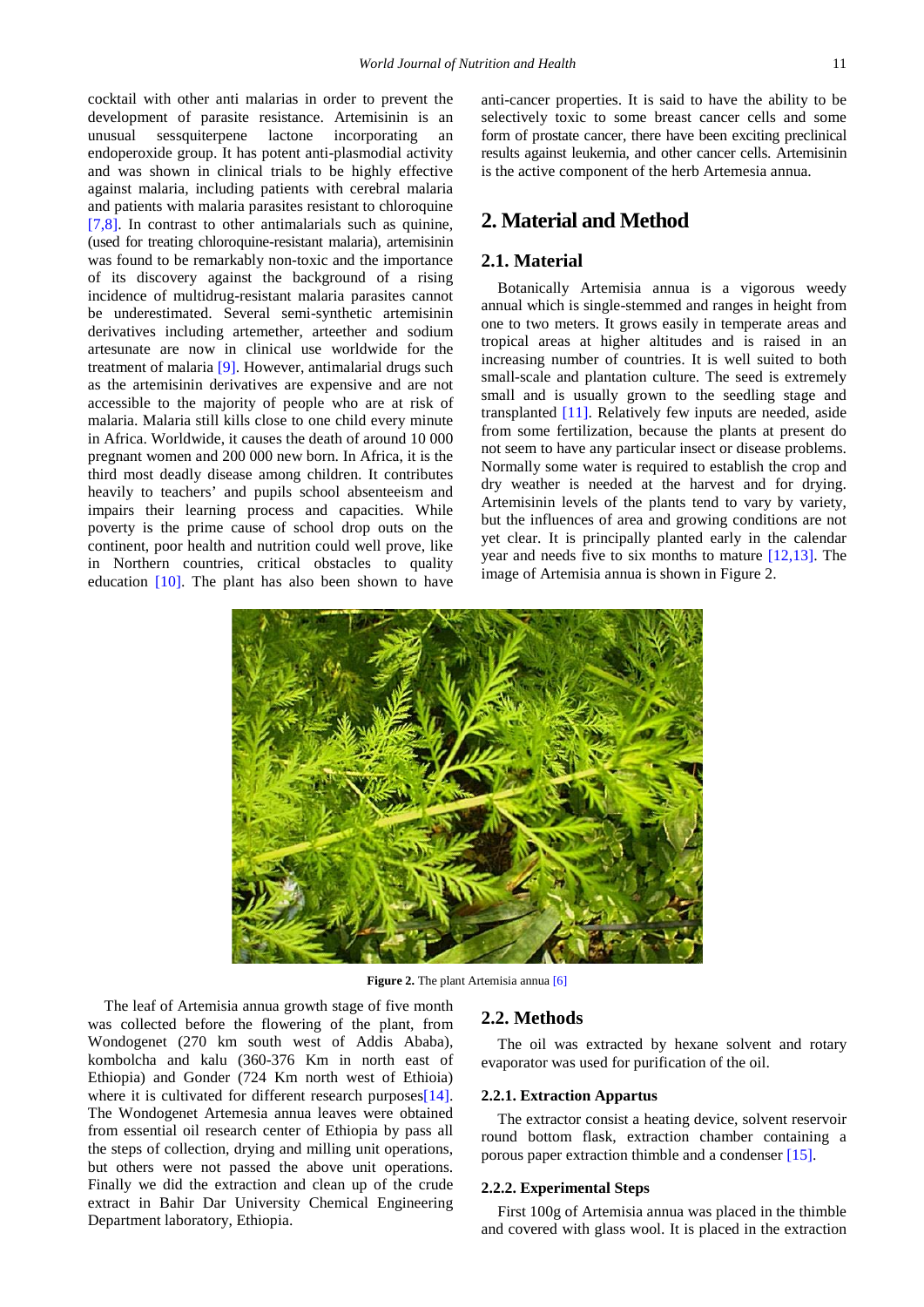cocktail with other anti malarias in order to prevent the development of parasite resistance. Artemisinin is an unusual sessquiterpene lactone incorporating an endoperoxide group. It has potent anti-plasmodial activity and was shown in clinical trials to be highly effective against malaria, including patients with cerebral malaria and patients with malaria parasites resistant to chloroquine [\[7,8\].](#page-6-4) In contrast to other antimalarials such as quinine, (used for treating chloroquine-resistant malaria), artemisinin was found to be remarkably non-toxic and the importance of its discovery against the background of a rising incidence of multidrug-resistant malaria parasites cannot be underestimated. Several semi-synthetic artemisinin derivatives including artemether, arteether and sodium artesunate are now in clinical use worldwide for the treatment of malaria [\[9\].](#page-6-5) However, antimalarial drugs such as the artemisinin derivatives are expensive and are not accessible to the majority of people who are at risk of malaria. Malaria still kills close to one child every minute in Africa. Worldwide, it causes the death of around 10 000 pregnant women and 200 000 new born. In Africa, it is the third most deadly disease among children. It contributes heavily to teachers' and pupils school absenteeism and impairs their learning process and capacities. While poverty is the prime cause of school drop outs on the continent, poor health and nutrition could well prove, like in Northern countries, critical obstacles to quality education [\[10\].](#page-6-6) The plant has also been shown to have anti-cancer properties. It is said to have the ability to be selectively toxic to some breast cancer cells and some form of prostate cancer, there have been exciting preclinical results against leukemia, and other cancer cells. Artemisinin is the active component of the herb Artemesia annua.

# **2. Material and Method**

# **2.1. Material**

Botanically Artemisia annua is a vigorous weedy annual which is single-stemmed and ranges in height from one to two meters. It grows easily in temperate areas and tropical areas at higher altitudes and is raised in an increasing number of countries. It is well suited to both small-scale and plantation culture. The seed is extremely small and is usually grown to the seedling stage and transplanted [\[11\].](#page-6-7) Relatively few inputs are needed, aside from some fertilization, because the plants at present do not seem to have any particular insect or disease problems. Normally some water is required to establish the crop and dry weather is needed at the harvest and for drying. Artemisinin levels of the plants tend to vary by variety, but the influences of area and growing conditions are not yet clear. It is principally planted early in the calendar year and needs five to six months to mature [\[12,13\].](#page-6-8) The image of Artemisia annua is shown in Figure 2.



**Figure 2.** The plant Artemisia annua [\[6\]](#page-6-3)

The leaf of Artemisia annua growth stage of five month was collected before the flowering of the plant, from Wondogenet (270 km south west of Addis Ababa), kombolcha and kalu (360-376 Km in north east of Ethiopia) and Gonder (724 Km north west of Ethioia) where it is cultivated for different research purposes<sup>[14]</sup>. The Wondogenet Artemesia annua leaves were obtained from essential oil research center of Ethiopia by pass all the steps of collection, drying and milling unit operations, but others were not passed the above unit operations. Finally we did the extraction and clean up of the crude extract in Bahir Dar University Chemical Engineering Department laboratory, Ethiopia.

# **2.2. Methods**

The oil was extracted by hexane solvent and rotary evaporator was used for purification of the oil.

#### **2.2.1. Extraction Appartus**

The extractor consist a heating device, solvent reservoir round bottom flask, extraction chamber containing a porous paper extraction thimble and a condenser [\[15\].](#page-6-10)

#### **2.2.2. Experimental Steps**

First 100g of Artemisia annua was placed in the thimble and covered with glass wool. It is placed in the extraction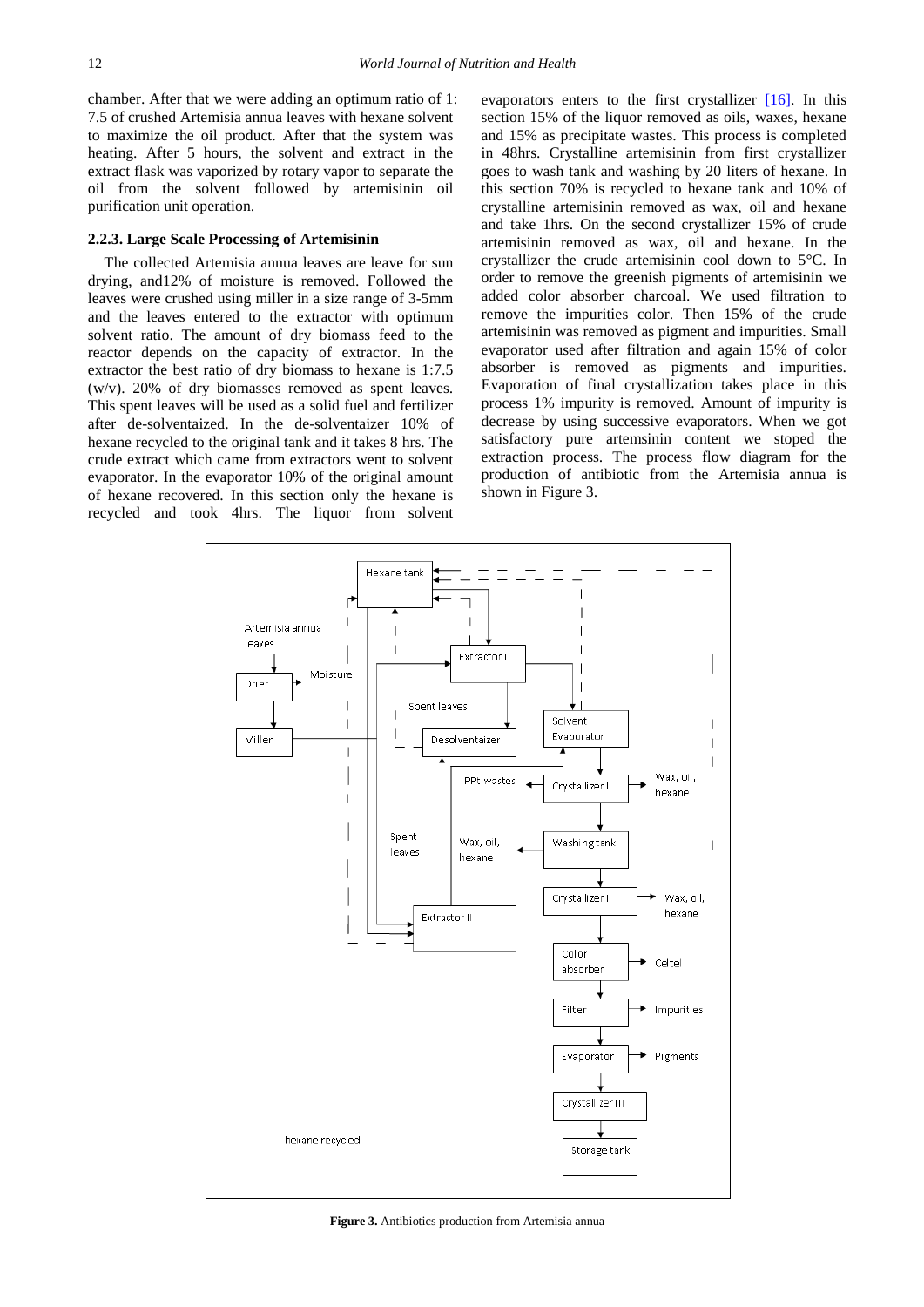chamber. After that we were adding an optimum ratio of 1: 7.5 of crushed Artemisia annua leaves with hexane solvent to maximize the oil product. After that the system was heating. After 5 hours, the solvent and extract in the extract flask was vaporized by rotary vapor to separate the oil from the solvent followed by artemisinin oil purification unit operation.

#### **2.2.3. Large Scale Processing of Artemisinin**

The collected Artemisia annua leaves are leave for sun drying, and12% of moisture is removed. Followed the leaves were crushed using miller in a size range of 3-5mm and the leaves entered to the extractor with optimum solvent ratio. The amount of dry biomass feed to the reactor depends on the capacity of extractor. In the extractor the best ratio of dry biomass to hexane is 1:7.5 (w/v). 20% of dry biomasses removed as spent leaves. This spent leaves will be used as a solid fuel and fertilizer after de-solventaized. In the de-solventaizer 10% of hexane recycled to the original tank and it takes 8 hrs. The crude extract which came from extractors went to solvent evaporator. In the evaporator 10% of the original amount of hexane recovered. In this section only the hexane is recycled and took 4hrs. The liquor from solvent

evaporators enters to the first crystallizer [\[16\].](#page-6-11) In this section 15% of the liquor removed as oils, waxes, hexane and 15% as precipitate wastes. This process is completed in 48hrs. Crystalline artemisinin from first crystallizer goes to wash tank and washing by 20 liters of hexane. In this section 70% is recycled to hexane tank and 10% of crystalline artemisinin removed as wax, oil and hexane and take 1hrs. On the second crystallizer 15% of crude artemisinin removed as wax, oil and hexane. In the crystallizer the crude artemisinin cool down to 5°C. In order to remove the greenish pigments of artemisinin we added color absorber charcoal. We used filtration to remove the impurities color. Then 15% of the crude artemisinin was removed as pigment and impurities. Small evaporator used after filtration and again 15% of color absorber is removed as pigments and impurities. Evaporation of final crystallization takes place in this process 1% impurity is removed. Amount of impurity is decrease by using successive evaporators. When we got satisfactory pure artemsinin content we stoped the extraction process. The process flow diagram for the production of antibiotic from the Artemisia annua is shown in Figure 3.



**Figure 3.** Antibiotics production from Artemisia annua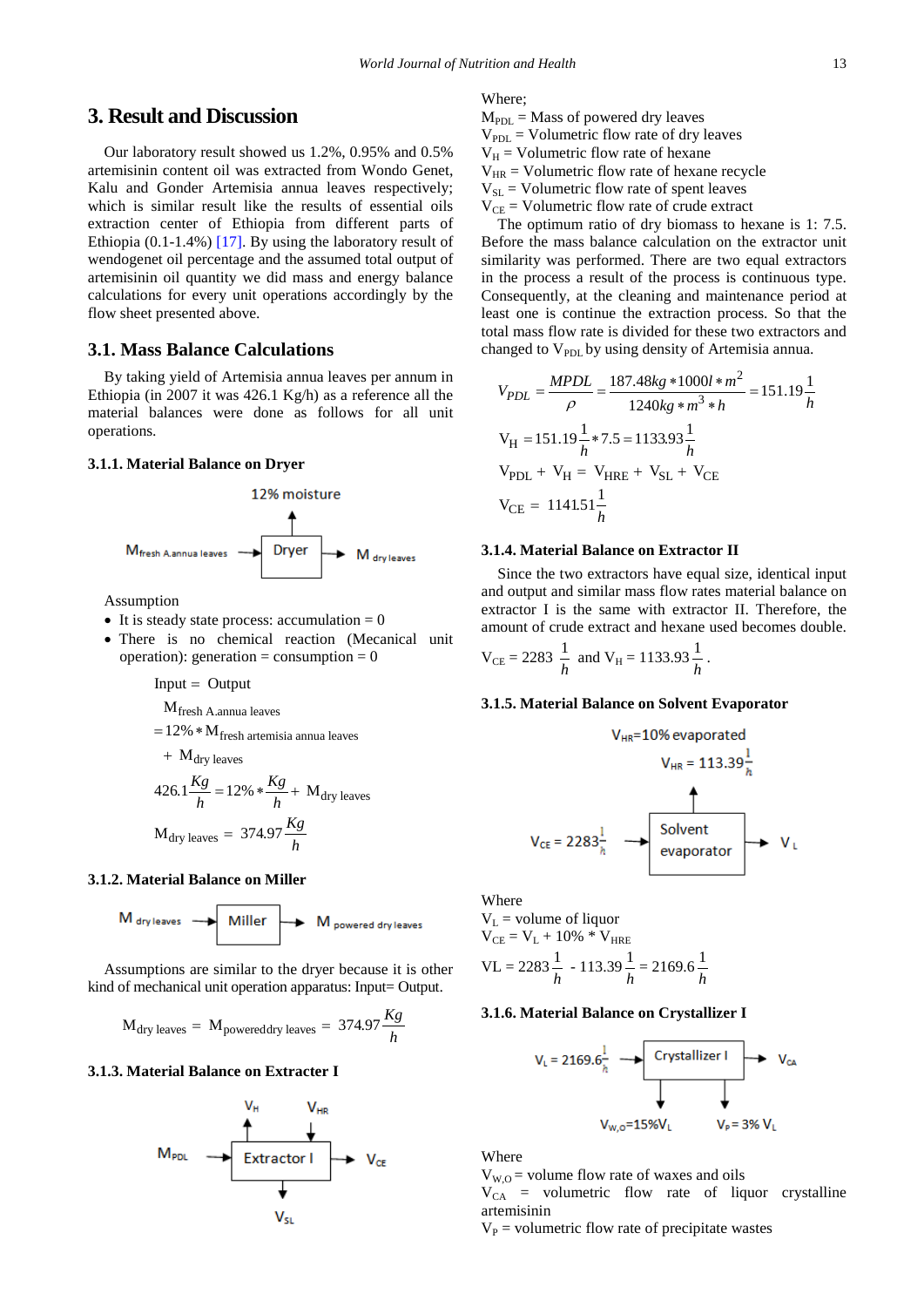# **3. Result and Discussion**

Our laboratory result showed us 1.2%, 0.95% and 0.5% artemisinin content oil was extracted from Wondo Genet, Kalu and Gonder Artemisia annua leaves respectively; which is similar result like the results of essential oils extraction center of Ethiopia from different parts of Ethiopia (0.1-1.4%) [\[17\].](#page-6-12) By using the laboratory result of wendogenet oil percentage and the assumed total output of artemisinin oil quantity we did mass and energy balance calculations for every unit operations accordingly by the flow sheet presented above.

# **3.1. Mass Balance Calculations**

By taking yield of Artemisia annua leaves per annum in Ethiopia (in 2007 it was 426.1 Kg/h) as a reference all the material balances were done as follows for all unit operations.

## **3.1.1. Material Balance on Dryer**



Assumption

- It is steady state process: accumulation  $= 0$
- There is no chemical reaction (Mecanical unit operation): generation = consumption =  $0$

 $Input = Output$ 

 $M$ fresh A.annua leaves

$$
= 12\%
$$
 \* M<sub>fresh</sub> artemisia annua leaves

$$
+ M_{dry leaves}
$$

$$
426.1 \frac{Kg}{h} = 12\% * \frac{Kg}{h} + M_{\text{dry leaves}}
$$

$$
M_{\text{dry leaves}} = 374.97 \frac{Kg}{h}
$$

## **3.1.2. Material Balance on Miller**

$$
M_{\text{ dry leaves}} \longrightarrow \text{ Miller} \longrightarrow M_{\text{ powered dry leaves}}
$$

Assumptions are similar to the dryer because it is other kind of mechanical unit operation apparatus: Input= Output.

$$
M_{\text{dry leaves}} = M_{\text{powereddry leaves}} = 374.97 \frac{Kg}{h}
$$

## **3.1.3. Material Balance on Extracter I**



Where;

 $M<sub>PDL</sub> = Mass of powered dry leaves$  $V_{PDL}$  = Volumetric flow rate of dry leaves  $V_H$  = Volumetric flow rate of hexane  $V_{HR}$  = Volumetric flow rate of hexane recycle  $V_{SL}$  = Volumetric flow rate of spent leaves  $V_{CE}$  = Volumetric flow rate of crude extract

The optimum ratio of dry biomass to hexane is 1: 7.5. Before the mass balance calculation on the extractor unit similarity was performed. There are two equal extractors in the process a result of the process is continuous type. Consequently, at the cleaning and maintenance period at least one is continue the extraction process. So that the total mass flow rate is divided for these two extractors and changed to  $V_{PDL}$  by using density of Artemisia annua.

$$
V_{PDL} = \frac{MPDL}{\rho} = \frac{187.48kg * 1000l * m^2}{1240kg * m^3 * h} = 151.19 \frac{1}{h}
$$
  
\n
$$
V_H = 151.19 \frac{1}{h} * 7.5 = 1133.93 \frac{1}{h}
$$
  
\n
$$
V_{PDL} + V_H = V_{HRE} + V_{SL} + V_{CE}
$$
  
\n
$$
V_{CE} = 1141.51 \frac{1}{h}
$$

## **3.1.4. Material Balance on Extractor II**

Since the two extractors have equal size, identical input and output and similar mass flow rates material balance on extractor I is the same with extractor II. Therefore, the amount of crude extract and hexane used becomes double.

$$
V_{CE} = 2283 \frac{1}{h}
$$
 and  $V_H = 1133.93 \frac{1}{h}$ .

#### **3.1.5. Material Balance on Solvent Evaporator**

$$
V_{HR} = 10\% \text{ evaporated}
$$
\n
$$
V_{HR} = 113.39\frac{1}{h}
$$
\n
$$
V_{CE} = 2283\frac{1}{h}
$$
\nSolvent  
evaporator\n
$$
V_{L}
$$

Where  
\nV<sub>L</sub> = volume of liquid  
\nV<sub>CE</sub> = V<sub>L</sub> + 10% \* V<sub>HRE</sub>  
\nVL = 2283 
$$
\frac{1}{h}
$$
 - 113.39  $\frac{1}{h}$  = 2169.6  $\frac{1}{h}$ 

#### **3.1.6. Material Balance on Crystallizer I**

$$
V_{L} = 2169.6 \frac{1}{h} \longrightarrow \text{Crystallizer I} \longrightarrow V_{CA}
$$
\n
$$
V_{W, O} = 15\% V_{L} \qquad V_{P} = 3\% V_{L}
$$

Where

 $V_{W,O}$  = volume flow rate of waxes and oils  $V_{CA}$  = volumetric flow rate of liquor crystalline artemisinin

 $V_P$  = volumetric flow rate of precipitate wastes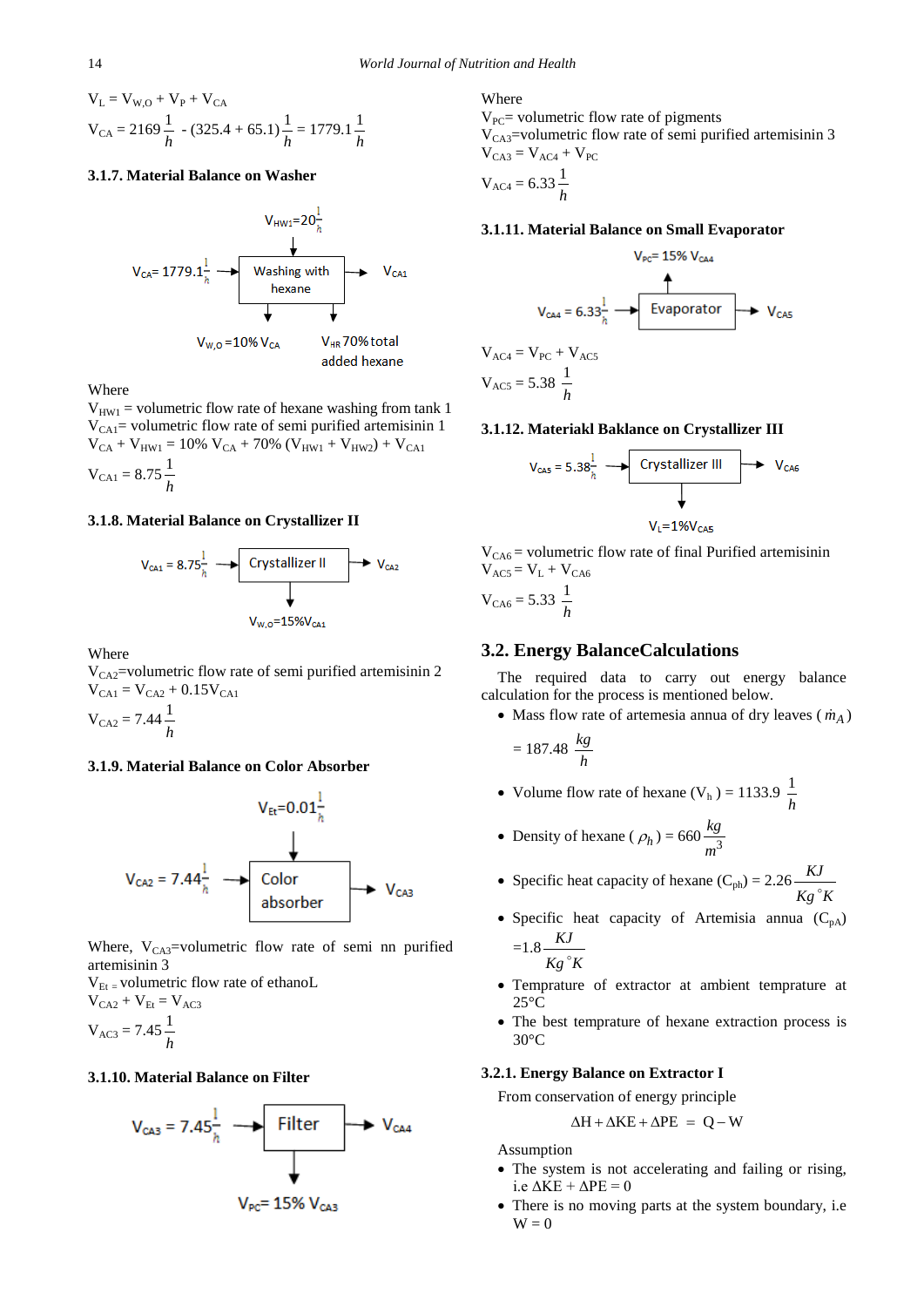$$
V_{L} = V_{W,O} + V_{P} + V_{CA}
$$
  

$$
V_{CA} = 2169 \frac{1}{h} - (325.4 + 65.1) \frac{1}{h} = 1779.1 \frac{1}{h}
$$

# **3.1.7. Material Balance on Washer**



**Where** 

 $V_{HW1}$  = volumetric flow rate of hexane washing from tank 1  $V_{\text{CAI}}$  volumetric flow rate of semi purified artemisinin 1  $V_{CA} + V_{HW1} = 10\% V_{CA} + 70\% (V_{HW1} + V_{HW2}) + V_{CA1}$  $V_{\text{CA1}} = 8.75 \frac{1}{h}$ 

## **3.1.8. Material Balance on Crystallizer II**



Where

 $V_{CA2}$ =volumetric flow rate of semi purified artemisinin 2  $V_{CA1} = V_{CA2} + 0.15V_{CA1}$ 

 $V_{CA2} = 7.44 \frac{1}{h}$ 

### **3.1.9. Material Balance on Color Absorber**



Where,  $V_{CA3}$ =volumetric flow rate of semi nn purified artemisinin 3

 $V_{Et}$  = volumetric flow rate of ethanoL  $V_{CA2} + V_{Et} = V_{AC3}$ 

$$
V_{AC3} = 7.45 \frac{1}{h}
$$

# **3.1.10. Material Balance on Filter**



Where

 $V_{PC}$ = volumetric flow rate of pigments  $V_{CAS}$ =volumetric flow rate of semi purified artemisinin 3  $V_{CA3} = V_{AC4} + V_{PC}$ 

$$
V_{AC4} = 6.33 \frac{1}{h}
$$

# **3.1.11. Material Balance on Small Evaporator**



#### **3.1.12. Materiakl Baklance on Crystallizer III**

$$
V_{\text{CAS}} = 5.38 \frac{1}{\hbar} \longrightarrow \boxed{\text{Crystallizer III}} \longrightarrow V_{\text{CAS}}
$$
\n
$$
V_{\text{L}} = 1\%V_{\text{CAS}}
$$

 $V_{CAG}$  = volumetric flow rate of final Purified artemisinin  $V_{AC5} = V_L + V_{CA6}$ 

 $V_{CA6} = 5.33 \frac{1}{h}$ 

# **3.2. Energy BalanceCalculations**

The required data to carry out energy balance calculation for the process is mentioned below.

• Mass flow rate of artemesia annua of dry leaves  $(m_A)$ 

$$
= 187.48 \frac{kg}{h}
$$

- Volume flow rate of hexane  $(V_h) = 1133.9 \frac{1}{h}$
- Density of hexane ( $\rho_h$ ) = 660 $\frac{kg}{m^3}$ *m*

• Specific heat capacity of hexane 
$$
(C_{ph}) = 2.26 \frac{KJ}{Kg^{\circ}K}
$$

- Specific heat capacity of Artemisia annua  $(C_{pA})$  $=1.8 \frac{KJ}{I}$  $Kg<sup>°</sup>K$
- Temprature of extractor at ambient temprature at  $25^{\circ}$ C
- The best temprature of hexane extraction process is 30°C

## **3.2.1. Energy Balance on Extractor I**

From conservation of energy principle

$$
\Delta H + \Delta KE + \Delta PE = Q - W
$$

Assumption

- The system is not accelerating and failing or rising, i.e  $\Delta \overline{KE} + \Delta \overline{PE} = 0$
- There is no moving parts at the system boundary, i.e.  $W = 0$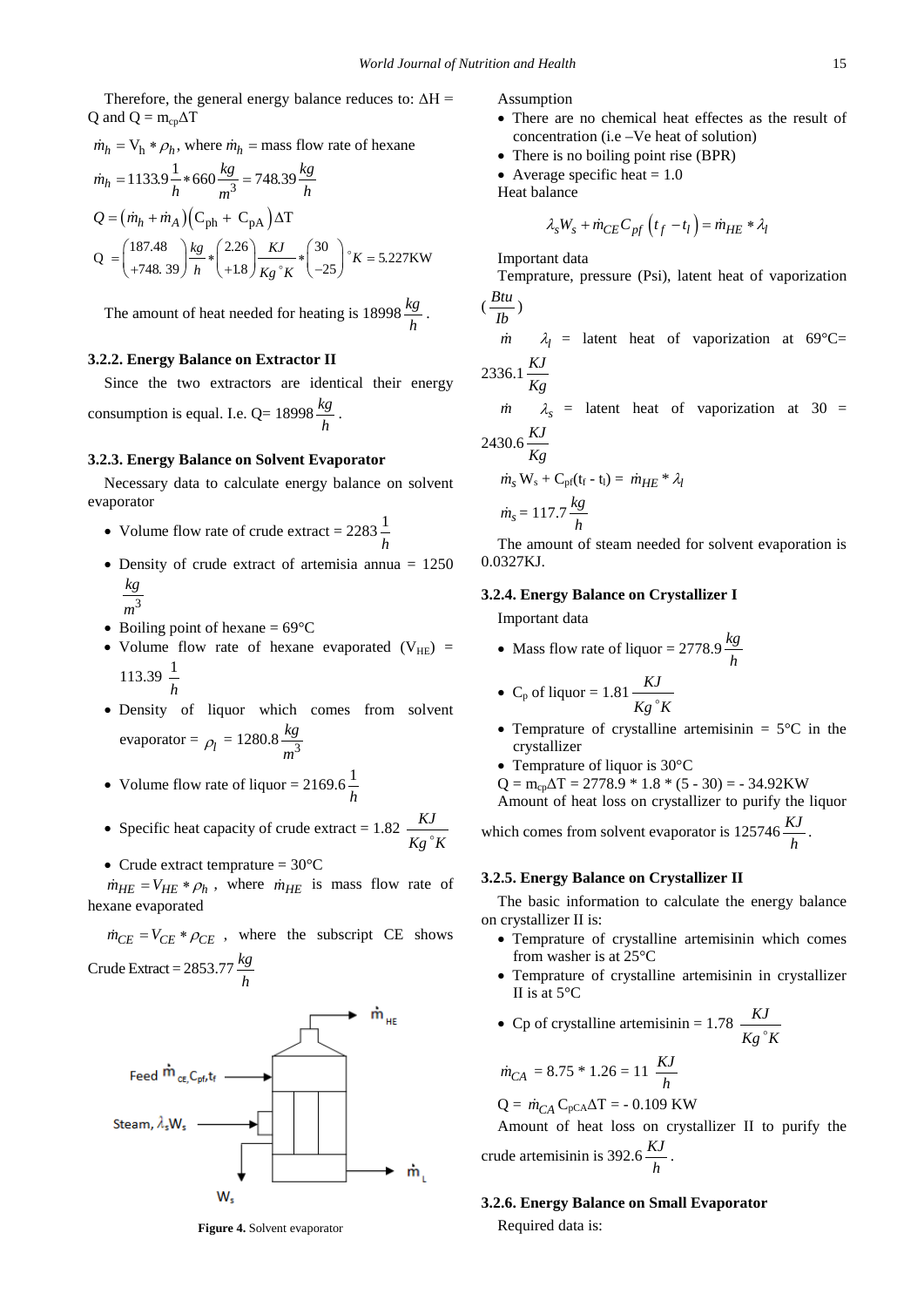Therefore, the general energy balance reduces to:  $\Delta H =$ Q and  $Q = m_{cp} \Delta T$ 

$$
\dot{m}_h = V_h * \rho_h, \text{ where } \dot{m}_h = \text{mass flow rate of hexane}
$$
\n
$$
\dot{m}_h = 1133.9 \frac{1}{h} * 660 \frac{kg}{m^3} = 748.39 \frac{kg}{h}
$$
\n
$$
Q = (\dot{m}_h + \dot{m}_A)(C_{ph} + C_{pA})\Delta T
$$
\n
$$
Q = \begin{pmatrix} 187.48 \\ +748.39 \end{pmatrix} \frac{kg}{h} * \begin{pmatrix} 2.26 \\ +1.8 \end{pmatrix} \frac{KJ}{Kg} * \begin{pmatrix} 30 \\ -25 \end{pmatrix} * K = 5.227 \text{KW}
$$

The amount of heat needed for heating is  $18998 \frac{kg}{h}$ .

## **3.2.2. Energy Balance on Extractor II**

Since the two extractors are identical their energy consumption is equal. I.e.  $Q= 18998 \frac{kg}{h}$ .

#### **3.2.3. Energy Balance on Solvent Evaporator**

Necessary data to calculate energy balance on solvent evaporator

- Volume flow rate of crude extract =  $2283 \frac{1}{h}$
- Density of crude extract of artemisia annua = 1250 *kg*
	- 3 *m*
- Boiling point of hexane  $= 69^{\circ}$ C
- Volume flow rate of hexane evaporated  $(V_{HE})$  = 113.39  $\frac{1}{h}$
- Density of liquor which comes from solvent evaporator =  $\rho_l = 1280.8 \frac{kg}{m^3}$ *m*
- Volume flow rate of liquor =  $2169.6 \frac{1}{h}$
- Specific heat capacity of crude extract =  $1.82 \frac{KJ}{\cdot}$  $Kg^{\circ}K$
- Crude extract temprature  $= 30^{\circ}$ C

 $\dot{m}_{HE} = V_{HE} * \rho_h$ , where  $\dot{m}_{HE}$  is mass flow rate of hexane evaporated

 $\dot{m}_{CF} = V_{CF} * \rho_{CF}$ , where the subscript CE shows Crude Extract =  $2853.77 \frac{kg}{h}$ 





Assumption

- There are no chemical heat effectes as the result of concentration (i.e –Ve heat of solution)
- There is no boiling point rise (BPR)
- Average specific heat  $= 1.0$

Heat balance

$$
\lambda_s W_s + \dot{m}_{CE} C_{pf} \left( t_f - t_l \right) = \dot{m}_{HE} * \lambda_l
$$

Important data

Temprature, pressure (Psi), latent heat of vaporization

$$
(\frac{Btu}{lb})
$$

$$
\dot{m} \qquad \lambda_l = \text{latent heat of vaporization at } 69^{\circ}\text{C} = 88.64 \text{ KJ}
$$

$$
2336.1 \frac{KJ}{Kg}
$$

 $\lambda_s$  = latent heat of vaporization at 30 =  $2430.6 \frac{KJ}{4}$ 

$$
Kg
$$
  

$$
\dot{m}_s \mathbf{W}_s + \mathbf{C}_{\text{pf}}(\mathbf{t}_f - \mathbf{t}_l) = \dot{m}_{HE} * \lambda_l
$$
  

$$
\dot{m}_s = 117.7 \frac{kg}{h}
$$

The amount of steam needed for solvent evaporation is 0.0327KJ.

#### **3.2.4. Energy Balance on Crystallizer I**

Important data

• Mass flow rate of liquor =  $2778.9 \frac{kg}{h}$ 

• C<sub>p</sub> of liquid 
$$
= 1.81 \frac{KJ}{Kg^{\circ}K}
$$

- Temprature of crystalline artemisinin  $= 5^{\circ}$ C in the crystallizer
- Temprature of liquor is 30°C

 $Q = m_{cp} \Delta T = 2778.9 * 1.8 * (5 - 30) = -34.92$ KW

Amount of heat loss on crystallizer to purify the liquor

which comes from solvent evaporator is  $125746 \frac{KJ}{h}$ .

# **3.2.5. Energy Balance on Crystallizer II**

The basic information to calculate the energy balance on crystallizer II is:

- Temprature of crystalline artemisinin which comes from washer is at 25°C
- Temprature of crystalline artemisinin in crystallizer II is at 5°C

• Cp of crystalline artemisinin = 
$$
1.78 \frac{KJ}{Kg^{\circ}K}
$$

$$
\dot{m}_{CA} = 8.75 \times 1.26 = 11 \frac{KJ}{h}
$$

 $Q = \dot{m}_{CA} C_{pCA} \Delta T = -0.109 \text{ KW}$ 

Amount of heat loss on crystallizer II to purify the crude artemisinin is  $392.6 \frac{KJ}{h}$ .

## **3.2.6. Energy Balance on Small Evaporator**

Required data is: